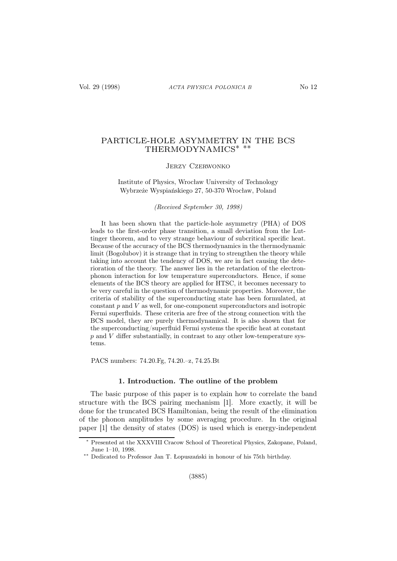# PARTICLE-HOLE ASYMMETRY IN THE BCS THERMODYNAMICS∗ ∗∗

## Jerzy Czerwonko

## Institute of Physics, Wrocław University of Technology Wybrzeże Wyspiańskiego 27, 50-370 Wrocław, Poland

#### (Received September 30, 1998)

It has been shown that the particle-hole asymmetry (PHA) of DOS leads to the first-order phase transition, a small deviation from the Luttinger theorem, and to very strange behaviour of subcritical specific heat. Because of the accuracy of the BCS thermodynamics in the thermodynamic limit (Bogolubov) it is strange that in trying to strengthen the theory while taking into account the tendency of DOS, we are in fact causing the deterioration of the theory. The answer lies in the retardation of the electronphonon interaction for low temperature superconductors. Hence, if some elements of the BCS theory are applied for HTSC, it becomes necessary to be very careful in the question of thermodynamic properties. Moreover, the criteria of stability of the superconducting state has been formulated, at constant  $p$  and  $V$  as well, for one-component superconductors and isotropic Fermi superfluids. These criteria are free of the strong connection with the BCS model, they are purely thermodynamical. It is also shown that for the superconducting/superfluid Fermi systems the specific heat at constant  $p$  and  $V$  differ substantially, in contrast to any other low-temperature systems.

PACS numbers: 74.20.Fg, 74.20.–z, 74.25.Bt

#### 1. Introduction. The outline of the problem

The basic purpose of this paper is to explain how to correlate the band structure with the BCS pairing mechanism [1]. More exactly, it will be done for the truncated BCS Hamiltonian, being the result of the elimination of the phonon amplitudes by some averaging procedure. In the original paper [1] the density of states (DOS) is used which is energy-independent

<sup>∗</sup> Presented at the XXXVIII Cracow School of Theoretical Physics, Zakopane, Poland, June 1–10, 1998.

<sup>∗∗</sup> Dedicated to Professor Jan T. Łopuszański in honour of his 75th birthday.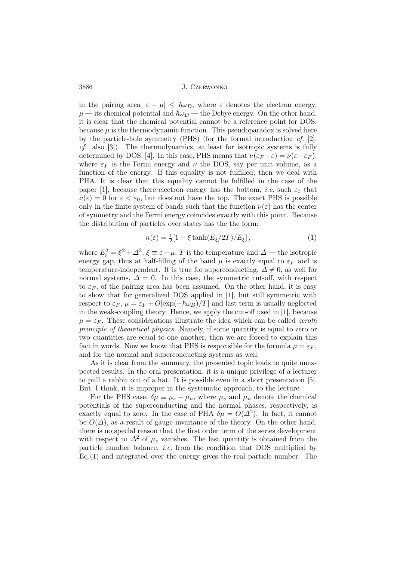in the pairing area  $|\varepsilon - \mu| \leq \hbar \omega_D$ , where  $\varepsilon$  denotes the electron energy,  $\mu$  — its chemical potential and  $\hbar\omega_D$  — the Debye energy. On the other hand, it is clear that the chemical potential cannot be a reference point for DOS, because  $\mu$  is the thermodynamic function. This pseudoparadox is solved here by the particle-hole symmetry (PHS) (for the formal introduction cf. [2],  $cf.$  also [3]). The thermodynamics, at least for isotropic systems is fully determined by DOS, [4]. In this case, PHS means that  $\nu(\varepsilon_F - \varepsilon) = \nu(\varepsilon - \varepsilon_F)$ , where  $\varepsilon_F$  is the Fermi energy and  $\nu$  the DOS, say per unit volume, as a function of the energy. If this equality is not fulfilled, then we deal with PHA. It is clear that this equality cannot be fulfilled in the case of the paper [1], because there electron energy has the bottom, *i.e.* such  $\varepsilon_0$  that  $\nu(\varepsilon) = 0$  for  $\varepsilon < \varepsilon_0$ , but does not have the top. The exact PHS is possible only in the finite system of bands such that the function  $\nu(\varepsilon)$  has the center of symmetry and the Fermi energy coincides exactly with this point. Because the distribution of particles over states has the the form:

$$
n(\varepsilon) = \frac{1}{2} [1 - \xi \tanh(E_{\xi}/2T)/E_{\xi}], \qquad (1)
$$

where  $E_{\xi}^2 = \xi^2 + \Delta^2$ ,  $\xi \equiv \varepsilon - \mu$ , T is the temperature and  $\Delta$  — the isotropic energy gap, thus at half-filling of the band  $\mu$  is exactly equal to  $\varepsilon_F$  and is temperature-independent. It is true for superconducting,  $\Delta \neq 0$ , as well for normal systems,  $\Delta = 0$ . In this case, the symmetric cut-off, with respect to  $\varepsilon_F$ , of the pairing area has been assumed. On the other hand, it is easy to show that for generalized DOS applied in [1], but still symmetric with respect to  $\varepsilon_F$ ,  $\mu = \varepsilon_F + O[\exp(-\hbar\omega_D)/T]$  and last term is usually neglected in the weak-coupling theory. Hence, we apply the cut-off used in [1], because  $\mu = \varepsilon_F$ . These considerations illustrate the idea which can be called *zeroth* principle of theoretical physics. Namely, if some quantity is equal to zero or two quantities are equal to one another, then we are forced to explain this fact in words. Now we know that PHS is responsible for the formula  $\mu = \varepsilon_F$ , and for the normal and superconducting systems as well.

As it is clear from the summary, the presented topic leads to quite unexpected results. In the oral presentation, it is a unique privilege of a lecturer to pull a rabbit out of a hat. It is possible even in a short presentation [5]. But, I think, it is improper in the systematic approach, to the lecture.

For the PHS case,  $\delta \mu \equiv \mu_s - \mu_n$ , where  $\mu_s$  and  $\mu_n$  denote the chemical potentials of the superconducting and the normal phases, respectively, is exactly equal to zero. In the case of PHA  $\delta \mu = O(\Delta^2)$ . In fact, it cannot be  $O(\Delta)$ , as a result of gauge invariance of the theory. On the other hand, there is no special reason that the first order term of the series development with respect to  $\Delta^2$  of  $\mu_s$  vanishes. The last quantity is obtained from the particle number balance, i.e. from the condition that DOS multiplied by Eq.(1) and integrated over the energy gives the real particle number. The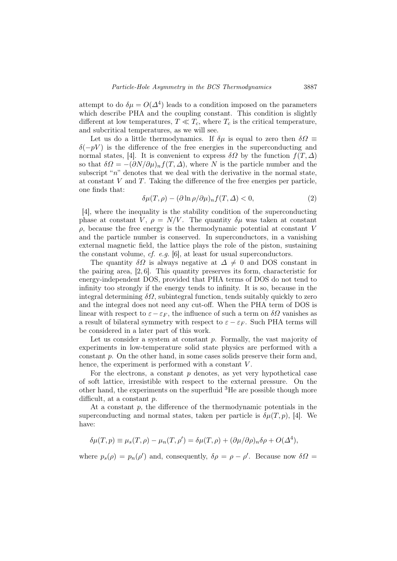attempt to do  $\delta \mu = O(\Delta^4)$  leads to a condition imposed on the parameters which describe PHA and the coupling constant. This condition is slightly different at low temperatures,  $T \ll T_c$ , where  $T_c$  is the critical temperature, and subcritical temperatures, as we will see.

Let us do a little thermodynamics. If  $\delta \mu$  is equal to zero then  $\delta \Omega \equiv$  $\delta(-pV)$  is the difference of the free energies in the superconducting and normal states, [4]. It is convenient to express  $\delta\Omega$  by the function  $f(T,\Delta)$ so that  $\delta \Omega = -(\partial N/\partial \mu)_n f(T, \Delta)$ , where N is the particle number and the subscript " $n$ " denotes that we deal with the derivative in the normal state, at constant  $V$  and  $T$ . Taking the difference of the free energies per particle, one finds that:

$$
\delta\mu(T,\rho) - (\partial \ln \rho/\partial \mu)_n f(T,\Delta) < 0,\tag{2}
$$

[4], where the inequality is the stability condition of the superconducting phase at constant V,  $\rho = N/V$ . The quantity  $\delta \mu$  was taken at constant  $\rho$ , because the free energy is the thermodynamic potential at constant V and the particle number is conserved. In superconductors, in a vanishing external magnetic field, the lattice plays the role of the piston, sustaining the constant volume, cf. e.g. [6], at least for usual superconductors.

The quantity  $\delta\Omega$  is always negative at  $\Delta \neq 0$  and DOS constant in the pairing area, [2, 6]. This quantity preserves its form, characteristic for energy-independent DOS, provided that PHA terms of DOS do not tend to infinity too strongly if the energy tends to infinity. It is so, because in the integral determining  $\delta\Omega$ , subintegral function, tends suitably quickly to zero and the integral does not need any cut-off. When the PHA term of DOS is linear with respect to  $\varepsilon - \varepsilon_F$ , the influence of such a term on  $\delta\Omega$  vanishes as a result of bilateral symmetry with respect to  $\varepsilon - \varepsilon_F$ . Such PHA terms will be considered in a later part of this work.

Let us consider a system at constant  $p$ . Formally, the vast majority of experiments in low-temperature solid state physics are performed with a constant p. On the other hand, in some cases solids preserve their form and, hence, the experiment is performed with a constant V.

For the electrons, a constant  $p$  denotes, as yet very hypothetical case of soft lattice, irresistible with respect to the external pressure. On the other hand, the experiments on the superfluid  ${}^{3}$ He are possible though more difficult, at a constant p.

At a constant  $p$ , the difference of the thermodynamic potentials in the superconducting and normal states, taken per particle is  $\delta \mu(T, p)$ , [4]. We have:

$$
\delta\mu(T,p) \equiv \mu_s(T,\rho) - \mu_n(T,\rho') = \delta\mu(T,\rho) + (\partial\mu/\partial\rho)_n \delta\rho + O(\Delta^4),
$$

where  $p_s(\rho) = p_n(\rho')$  and, consequently,  $\delta \rho = \rho - \rho'$ . Because now  $\delta \Omega =$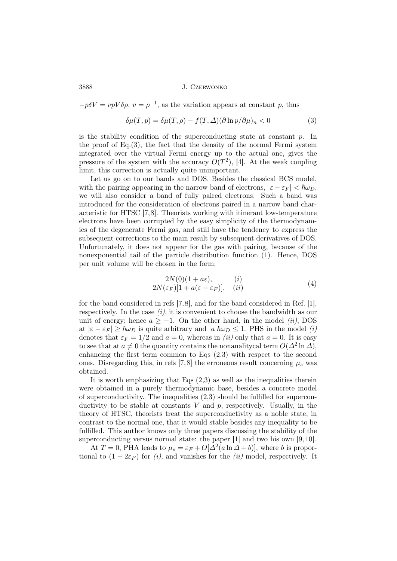$-p\delta V = vpV\delta\rho, v = \rho^{-1}$ , as the variation appears at constant p, thus

$$
\delta\mu(T, p) = \delta\mu(T, \rho) - f(T, \Delta)(\partial \ln p/\partial \mu)_n < 0 \tag{3}
$$

is the stability condition of the superconducting state at constant  $p$ . In the proof of Eq.(3), the fact that the density of the normal Fermi system integrated over the virtual Fermi energy up to the actual one, gives the pressure of the system with the accuracy  $O(T^2)$ , [4]. At the weak coupling limit, this correction is actually quite unimportant.

Let us go on to our bands and DOS. Besides the classical BCS model, with the pairing appearing in the narrow band of electrons,  $|\varepsilon - \varepsilon_F| < \hbar \omega_D$ , we will also consider a band of fully paired electrons. Such a band was introduced for the consideration of electrons paired in a narrow band characteristic for HTSC [7,8]. Theorists working with itinerant low-temperature electrons have been corrupted by the easy simplicity of the thermodynamics of the degenerate Fermi gas, and still have the tendency to express the subsequent corrections to the main result by subsequent derivatives of DOS. Unfortunately, it does not appear for the gas with pairing, because of the nonexponential tail of the particle distribution function (1). Hence, DOS per unit volume will be chosen in the form:

$$
2N(0)(1 + a\varepsilon), \t\t (i)
$$
  
2N(\varepsilon\_F)[1 + a(\varepsilon - \varepsilon\_F)], \t\t (ii) (4)

for the band considered in refs [7,8], and for the band considered in Ref. [1], respectively. In the case  $(i)$ , it is convenient to choose the bandwidth as our unit of energy; hence  $a \ge -1$ . On the other hand, in the model (ii), DOS at  $|\varepsilon - \varepsilon_F| \ge \hbar \omega_D$  is quite arbitrary and  $|a|\hbar \omega_D \le 1$ . PHS in the model (i) denotes that  $\varepsilon_F = 1/2$  and  $a = 0$ , whereas in *(ii)* only that  $a = 0$ . It is easy to see that at  $a \neq 0$  the quantity contains the nonanalitycal term  $O(\Delta^2 \ln \Delta)$ , enhancing the first term common to Eqs (2,3) with respect to the second ones. Disregarding this, in refs [7,8] the erroneous result concerning  $\mu_s$  was obtained.

It is worth emphasizing that Eqs  $(2,3)$  as well as the inequalities therein were obtained in a purely thermodynamic base, besides a concrete model of superconductivity. The inequalities (2,3) should be fulfilled for superconductivity to be stable at constants V and p, respectively. Usually, in the theory of HTSC, theorists treat the superconductivity as a noble state, in contrast to the normal one, that it would stable besides any inequality to be fulfilled. This author knows only three papers discussing the stability of the superconducting versus normal state: the paper  $[1]$  and two his own  $[9, 10]$ .

At  $T = 0$ , PHA leads to  $\mu_s = \varepsilon_F + O[\Delta^2(a \ln \Delta + b)]$ , where b is proportional to  $(1 - 2\varepsilon_F)$  for  $(i)$ , and vanishes for the  $(ii)$  model, respectively. It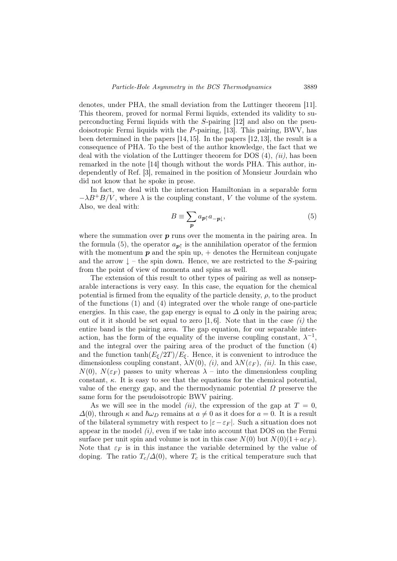denotes, under PHA, the small deviation from the Luttinger theorem [11]. This theorem, proved for normal Fermi liquids, extended its validity to superconducting Fermi liquids with the S-pairing [12] and also on the pseudoisotropic Fermi liquids with the P-pairing, [13]. This pairing, BWV, has been determined in the papers [14,15]. In the papers [12,13], the result is a consequence of PHA. To the best of the author knowledge, the fact that we deal with the violation of the Luttinger theorem for DOS  $(4)$ ,  $(ii)$ , has been remarked in the note [14] though without the words PHA. This author, independently of Ref. [3], remained in the position of Monsieur Jourdain who did not know that he spoke in prose.

In fact, we deal with the interaction Hamiltonian in a separable form  $-\lambda B^+B/V$ , where  $\lambda$  is the coupling constant, V the volume of the system. Also, we deal with:

$$
B \equiv \sum_{\mathbf{p}} a_{\mathbf{p}\uparrow} a_{-\mathbf{p}\downarrow},\tag{5}
$$

where the summation over  $p$  runs over the momenta in the pairing area. In the formula (5), the operator  $a_{p\uparrow}$  is the annihilation operator of the fermion with the momentum  $p$  and the spin up,  $+$  denotes the Hermitean conjugate and the arrow  $\downarrow$  – the spin down. Hence, we are restricted to the S-pairing from the point of view of momenta and spins as well.

The extension of this result to other types of pairing as well as nonseparable interactions is very easy. In this case, the equation for the chemical potential is firmed from the equality of the particle density,  $\rho$ , to the product of the functions (1) and (4) integrated over the whole range of one-particle energies. In this case, the gap energy is equal to  $\Delta$  only in the pairing area; out of it it should be set equal to zero [1, 6]. Note that in the case  $(i)$  the entire band is the pairing area. The gap equation, for our separable interaction, has the form of the equality of the inverse coupling constant,  $\lambda^{-1}$ , and the integral over the pairing area of the product of the function (4) and the function  $\tanh(E_{\xi}/2T)/E_{\xi}$ . Hence, it is convenient to introduce the dimensionless coupling constant,  $\lambda N(0)$ , (i), and  $\lambda N(\varepsilon_F)$ , (ii). In this case,  $N(0)$ ,  $N(\varepsilon_F)$  passes to unity whereas  $\lambda$  – into the dimensionless coupling constant,  $\kappa$ . It is easy to see that the equations for the chemical potential, value of the energy gap, and the thermodynamic potential  $\Omega$  preserve the same form for the pseudoisotropic BWV pairing.

As we will see in the model *(ii)*, the expression of the gap at  $T = 0$ .  $\Delta(0)$ , through  $\kappa$  and  $\hbar\omega_D$  remains at  $a \neq 0$  as it does for  $a = 0$ . It is a result of the bilateral symmetry with respect to  $|\varepsilon-\varepsilon_F|$ . Such a situation does not appear in the model  $(i)$ , even if we take into account that DOS on the Fermi surface per unit spin and volume is not in this case  $N(0)$  but  $N(0)(1+a\varepsilon_F)$ . Note that  $\varepsilon_F$  is in this instance the variable determined by the value of doping. The ratio  $T_c/\Delta(0)$ , where  $T_c$  is the critical temperature such that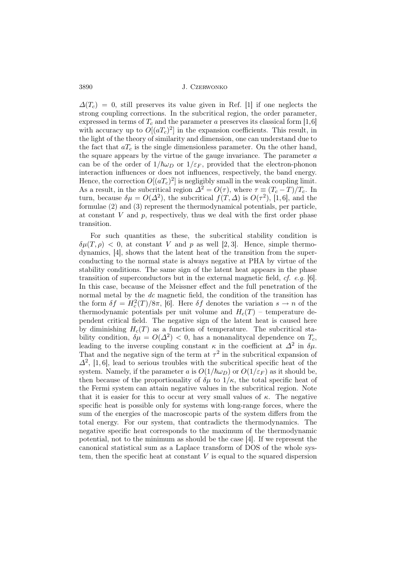$\Delta(T_c) = 0$ , still preserves its value given in Ref. [1] if one neglects the strong coupling corrections. In the subcritical region, the order parameter, expressed in terms of  $T_c$  and the parameter a preserves its classical form [1,6] with accuracy up to  $O[(aT_c)^2]$  in the expansion coefficients. This result, in the light of the theory of similarity and dimension, one can understand due to the fact that  $aT_c$  is the single dimensionless parameter. On the other hand, the square appears by the virtue of the gauge invariance. The parameter  $a$ can be of the order of  $1/\hbar\omega_D$  or  $1/\varepsilon_F$ , provided that the electron-phonon interaction influences or does not influences, respectively, the band energy. Hence, the correction  $O[(aT_c)^2]$  is negligibly small in the weak coupling limit. As a result, in the subcritical region  $\Delta^2 = O(\tau)$ , where  $\tau \equiv (T_c - T)/T_c$ . In turn, because  $\delta \mu = O(\Delta^2)$ , the subcritical  $f(T, \Delta)$  is  $O(\tau^2)$ , [1,6], and the formulae (2) and (3) represent the thermodynamical potentials, per particle, at constant  $V$  and  $p$ , respectively, thus we deal with the first order phase transition.

For such quantities as these, the subcritical stability condition is  $\delta\mu(T,\rho)$  < 0, at constant V and p as well [2, 3]. Hence, simple thermodynamics, [4], shows that the latent heat of the transition from the superconducting to the normal state is always negative at PHA by virtue of the stability conditions. The same sign of the latent heat appears in the phase transition of superconductors but in the external magnetic field,  $cf.$  e.g. [6]. In this case, because of the Meissner effect and the full penetration of the normal metal by the dc magnetic field, the condition of the transition has the form  $\delta f = H_c^2(T)/8\pi$ , [6]. Here  $\delta f$  denotes the variation  $s \to n$  of the thermodynamic potentials per unit volume and  $H_c(T)$  – temperature dependent critical field. The negative sign of the latent heat is caused here by diminishing  $H_c(T)$  as a function of temperature. The subcritical stability condition,  $\delta \mu = O(\Delta^2) < 0$ , has a nonanalitycal dependence on  $T_c$ , leading to the inverse coupling constant  $\kappa$  in the coefficient at  $\Delta^2$  in  $\delta\mu$ . That and the negative sign of the term at  $\tau^2$  in the subcritical expansion of  $\Delta^2$ , [1,6], lead to serious troubles with the subcritical specific heat of the system. Namely, if the parameter a is  $O(1/\hbar\omega_D)$  or  $O(1/\varepsilon_F)$  as it should be, then because of the proportionality of  $\delta\mu$  to  $1/\kappa$ , the total specific heat of the Fermi system can attain negative values in the subcritical region. Note that it is easier for this to occur at very small values of  $\kappa$ . The negative specific heat is possible only for systems with long-range forces, where the sum of the energies of the macroscopic parts of the system differs from the total energy. For our system, that contradicts the thermodynamics. The negative specific heat corresponds to the maximum of the thermodynamic potential, not to the minimum as should be the case [4]. If we represent the canonical statistical sum as a Laplace transform of DOS of the whole system, then the specific heat at constant  $V$  is equal to the squared dispersion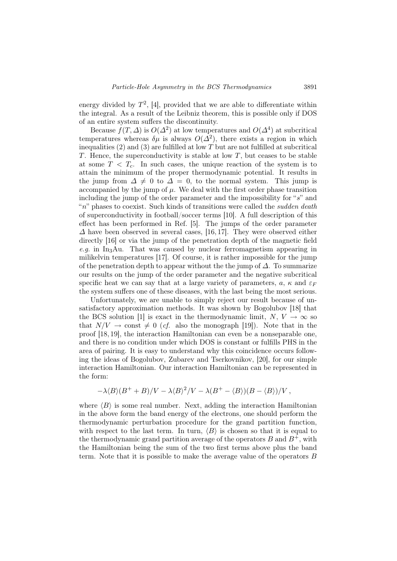energy divided by  $T^2$ , [4], provided that we are able to differentiate within the integral. As a result of the Leibniz theorem, this is possible only if DOS of an entire system suffers the discontinuity.

Because  $f(T, \Delta)$  is  $O(\Delta^2)$  at low temperatures and  $O(\Delta^4)$  at subcritical temperatures whereas  $\delta \mu$  is always  $O(\Delta^2)$ , there exists a region in which inequalities  $(2)$  and  $(3)$  are fulfilled at low T but are not fulfilled at subcritical T. Hence, the superconductivity is stable at low  $T$ , but ceases to be stable at some  $T < T_c$ . In such cases, the unique reaction of the system is to attain the minimum of the proper thermodynamic potential. It results in the jump from  $\Delta \neq 0$  to  $\Delta = 0$ , to the normal system. This jump is accompanied by the jump of  $\mu$ . We deal with the first order phase transition including the jump of the order parameter and the impossibility for "s" and " $n$ " phases to coexist. Such kinds of transitions were called the *sudden death* of superconductivity in football/soccer terms [10]. A full description of this effect has been performed in Ref. [5]. The jumps of the order parameter  $\Delta$  have been observed in several cases, [16, 17]. They were observed either directly [16] or via the jump of the penetration depth of the magnetic field e.g. in In<sub>3</sub>Au. That was caused by nuclear ferromagnetism appearing in milikelvin temperatures [17]. Of course, it is rather impossible for the jump of the penetration depth to appear without the the jump of  $\Delta$ . To summarize our results on the jump of the order parameter and the negative subcritical specific heat we can say that at a large variety of parameters,  $a, \kappa$  and  $\varepsilon_F$ the system suffers one of these diseases, with the last being the most serious.

Unfortunately, we are unable to simply reject our result because of unsatisfactory approximation methods. It was shown by Bogolubov [18] that the BCS solution [1] is exact in the thermodynamic limit,  $N, V \rightarrow \infty$  so that  $N/V \rightarrow \text{const} \neq 0$  (cf. also the monograph [19]). Note that in the proof [18, 19], the interaction Hamiltonian can even be a nonseparable one, and there is no condition under which DOS is constant or fulfills PHS in the area of pairing. It is easy to understand why this coincidence occurs following the ideas of Bogolubov, Zubarev and Tserkovnikov, [20], for our simple interaction Hamiltonian. Our interaction Hamiltonian can be represented in the form:

$$
-\lambda \langle B \rangle (B^+ + B)/V - \lambda \langle B \rangle^2 /V - \lambda (B^+ - \langle B \rangle)(B - \langle B \rangle)/V,
$$

where  $\langle B \rangle$  is some real number. Next, adding the interaction Hamiltonian in the above form the band energy of the electrons, one should perform the thermodynamic perturbation procedure for the grand partition function, with respect to the last term. In turn,  $\langle B \rangle$  is chosen so that it is equal to the thermodynamic grand partition average of the operators  $B$  and  $B^+$ , with the Hamiltonian being the sum of the two first terms above plus the band term. Note that it is possible to make the average value of the operators B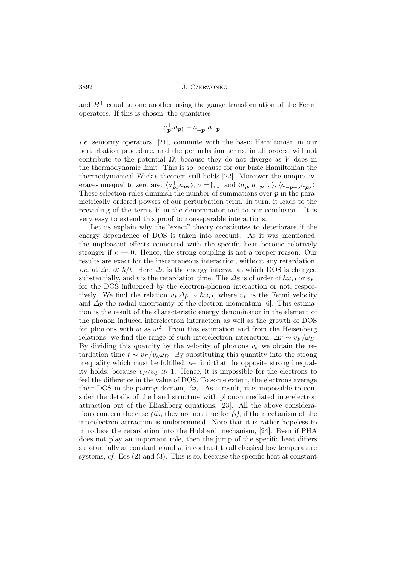and  $B^+$  equal to one another using the gauge transformation of the Fermi operators. If this is chosen, the quantities

$$
a^+_{\mathbf{p}\uparrow}a_{\mathbf{p}\uparrow}-a^+_{-\mathbf{p}\downarrow}a_{-\mathbf{p}\downarrow},
$$

i.e. seniority operators, [21], commute with the basic Hamiltonian in our perturbation procedure, and the perturbation terms, in all orders, will not contribute to the potential  $\Omega$ , because they do not diverge as V does in the thermodynamic limit. This is so, because for our basic Hamiltonian the thermodynamical Wick's theorem still holds [22]. Moreover the unique averages unequal to zero are:  $\langle a_{\mathbf{p}\sigma}^{+}a_{\mathbf{p}\sigma} \rangle$ ,  $\sigma = \uparrow, \downarrow$ , and  $\langle a_{\mathbf{p}\sigma}a_{-\mathbf{p}-\sigma} \rangle$ ,  $\langle a_{-\mathbf{p}-\sigma}^{+}a_{\mathbf{p}\sigma}^{+} \rangle$ . These selection rules diminish the number of summations over  $p$  in the parametrically ordered powers of our perturbation term. In turn, it leads to the prevailing of the terms V in the denominator and to our conclusion. It is very easy to extend this proof to nonseparable interactions.

Let us explain why the "exact" theory constitutes to deteriorate if the energy dependence of DOS is taken into account. As it was mentioned, the unpleasant effects connected with the specific heat become relatively stronger if  $\kappa \to 0$ . Hence, the strong coupling is not a proper reason. Our results are exact for the instantaneous interaction, without any retardation, i.e. at  $\Delta \varepsilon \ll \hbar/t$ . Here  $\Delta \varepsilon$  is the energy interval at which DOS is changed substantially, and t is the retardation time. The  $\Delta \varepsilon$  is of order of  $\hbar \omega_D$  or  $\varepsilon_F$ , for the DOS influenced by the electron-phonon interaction or not, respectively. We find the relation  $v_F \Delta p \sim \hbar \omega_D$ , where  $v_F$  is the Fermi velocity and  $\Delta p$  the radial uncertainty of the electron momentum [6]. This estimation is the result of the characteristic energy denominator in the element of the phonon induced interelectron interaction as well as the growth of DOS for phonons with  $\omega$  as  $\omega^2$ . From this estimation and from the Heisenberg relations, we find the range of such interelectron interaction,  $\Delta r \sim v_F/\omega_D$ . By dividing this quantity by the velocity of phonons  $v_{\phi}$  we obtain the retardation time  $t \sim v_F/v_\phi \omega_D$ . By substituting this quantity into the strong inequality which must be fulfilled, we find that the opposite strong inequality holds, because  $v_F/v_\phi \gg 1$ . Hence, it is impossible for the electrons to feel the difference in the value of DOS. To some extent, the electrons average their DOS in the pairing domain,  $(ii)$ . As a result, it is impossible to consider the details of the band structure with phonon mediated interelectron attraction out of the Eliashberg equations, [23]. All the above considerations concern the case (ii), they are not true for  $(i)$ , if the mechanism of the interelectron attraction is undetermined. Note that it is rather hopeless to introduce the retardation into the Hubbard mechanism, [24]. Even if PHA does not play an important role, then the jump of the specific heat differs substantially at constant  $p$  and  $\rho$ , in contrast to all classical low temperature systems,  $cf.$  Eqs  $(2)$  and  $(3)$ . This is so, because the specific heat at constant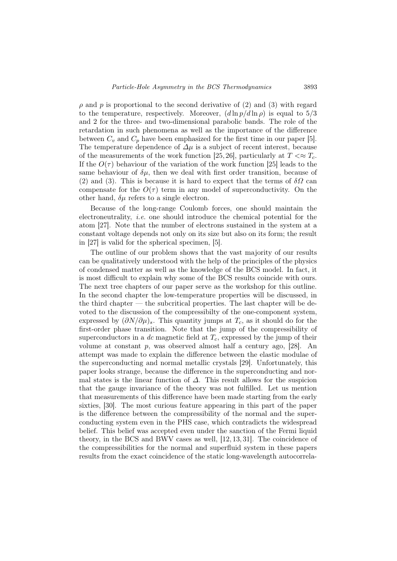$\rho$  and p is proportional to the second derivative of (2) and (3) with regard to the temperature, respectively. Moreover,  $(d \ln p/d \ln \rho)$  is equal to  $5/3$ and 2 for the three- and two-dimensional parabolic bands. The role of the retardation in such phenomena as well as the importance of the difference between  $C_v$  and  $C_p$  have been emphasized for the first time in our paper [5]. The temperature dependence of  $\Delta \mu$  is a subject of recent interest, because of the measurements of the work function [25, 26], particularly at  $T \ll T_c$ . If the  $O(\tau)$  behaviour of the variation of the work function [25] leads to the same behaviour of  $\delta\mu$ , then we deal with first order transition, because of (2) and (3). This is because it is hard to expect that the terms of  $\delta\Omega$  can compensate for the  $O(\tau)$  term in any model of superconductivity. On the other hand,  $\delta\mu$  refers to a single electron.

Because of the long-range Coulomb forces, one should maintain the electroneutrality, i.e. one should introduce the chemical potential for the atom [27]. Note that the number of electrons sustained in the system at a constant voltage depends not only on its size but also on its form; the result in [27] is valid for the spherical specimen, [5].

The outline of our problem shows that the vast majority of our results can be qualitatively understood with the help of the principles of the physics of condensed matter as well as the knowledge of the BCS model. In fact, it is most difficult to explain why some of the BCS results coincide with ours. The next tree chapters of our paper serve as the workshop for this outline. In the second chapter the low-temperature properties will be discussed, in the third chapter — the subcritical properties. The last chapter will be devoted to the discussion of the compressibilty of the one-component system, expressed by  $(\partial N/\partial \mu)_s$ . This quantity jumps at  $T_c$ , as it should do for the first-order phase transition. Note that the jump of the compressibility of superconductors in a dc magnetic field at  $T_c$ , expressed by the jump of their volume at constant  $p$ , was observed almost half a century ago, [28]. An attempt was made to explain the difference between the elastic modulae of the superconducting and normal metallic crystals [29]. Unfortunately, this paper looks strange, because the difference in the superconducting and normal states is the linear function of  $\Delta$ . This result allows for the suspicion that the gauge invariance of the theory was not fulfilled. Let us mention that measurements of this difference have been made starting from the early sixties, [30]. The most curious feature appearing in this part of the paper is the difference between the compressibility of the normal and the superconducting system even in the PHS case, which contradicts the widespread belief. This belief was accepted even under the sanction of the Fermi liquid theory, in the BCS and BWV cases as well, [12, 13, 31]. The coincidence of the compressibilities for the normal and superfluid system in these papers results from the exact coincidence of the static long-wavelength autocorrela-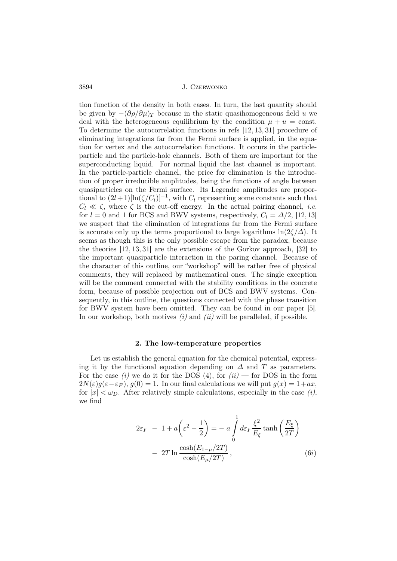tion function of the density in both cases. In turn, the last quantity should be given by  $-(\partial \rho/\partial \mu)_T$  because in the static quasihomogeneous field u we deal with the heterogeneous equilibrium by the condition  $\mu + u = \text{const.}$ To determine the autocorrelation functions in refs [12, 13, 31] procedure of eliminating integrations far from the Fermi surface is applied, in the equation for vertex and the autocorrelation functions. It occurs in the particleparticle and the particle-hole channels. Both of them are important for the superconducting liquid. For normal liquid the last channel is important. In the particle-particle channel, the price for elimination is the introduction of proper irreducible amplitudes, being the functions of angle between quasiparticles on the Fermi surface. Its Legendre amplitudes are proportional to  $(2l+1)[\ln(\zeta/C_l)]^{-1}$ , with  $C_l$  representing some constants such that  $C_l \ll \zeta$ , where  $\zeta$  is the cut-off energy. In the actual pairing channel, *i.e.* for  $l = 0$  and 1 for BCS and BWV systems, respectively,  $C_l = \Delta/2$ , [12, 13] we suspect that the elimination of integrations far from the Fermi surface is accurate only up the terms proportional to large logarithms  $\ln(2\zeta/\Delta)$ . It seems as though this is the only possible escape from the paradox, because the theories [12, 13, 31] are the extensions of the Gorkov approach, [32] to the important quasiparticle interaction in the paring channel. Because of the character of this outline, our "workshop" will be rather free of physical comments, they will replaced by mathematical ones. The single exception will be the comment connected with the stability conditions in the concrete form, because of possible projection out of BCS and BWV systems. Consequently, in this outline, the questions connected with the phase transition for BWV system have been omitted. They can be found in our paper [5]. In our workshop, both motives  $(i)$  and  $(ii)$  will be paralleled, if possible.

#### 2. The low-temperature properties

Let us establish the general equation for the chemical potential, expressing it by the functional equation depending on  $\Delta$  and T as parameters. For the case (i) we do it for the DOS (4), for  $(ii)$  — for DOS in the form  $2N(\varepsilon)q(\varepsilon-\varepsilon_F), q(0)=1.$  In our final calculations we will put  $q(x)=1+ax$ , for  $|x| < \omega_D$ . After relatively simple calculations, especially in the case *(i)*, we find

$$
2\varepsilon_F - 1 + a\left(\varepsilon^2 - \frac{1}{2}\right) = -a \int_0^1 d\varepsilon_F \frac{\xi^2}{E_\xi} \tanh\left(\frac{E_\xi}{2T}\right)
$$

$$
- 2T \ln \frac{\cosh(E_{1-\mu}/2T)}{\cosh(E_\mu/2T)}, \qquad (6i)
$$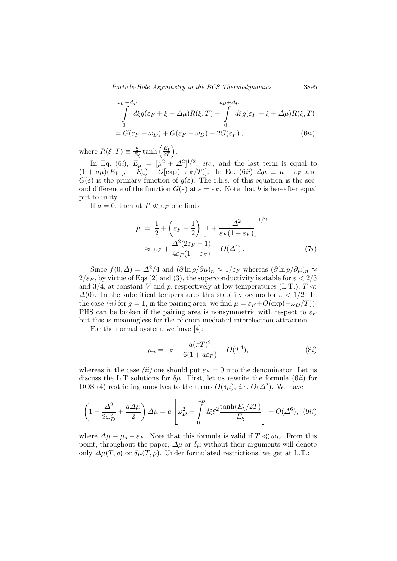Particle-Hole Asymmetry in the BCS Thermodynamics 3895

$$
\int_{0}^{\omega_D-\Delta\mu} d\xi g(\varepsilon_F+\xi+\Delta\mu)R(\xi,T) - \int_{0}^{\omega_D+\Delta\mu} d\xi g(\varepsilon_F-\xi+\Delta\mu)R(\xi,T)
$$
  
=  $G(\varepsilon_F+\omega_D)+G(\varepsilon_F-\omega_D)-2G(\varepsilon_F),$  (6ii)

where  $R(\xi, T) \equiv \frac{\xi}{E}$  $\frac{\xi}{E_{\xi}}\tanh\left(\frac{E_{\xi}}{2T}\right)$  $rac{E_{\xi}}{2T}$ .

In Eq. (6*i*),  $E_{\mu} = [\mu^2 + \Delta^2]^{1/2}$ , *etc.*, and the last term is equal to  $(1 + a\mu)(E_{1-\mu} - E_{\mu}) + O[\exp(-\varepsilon_F/T)]$ . In Eq. (6*ii*)  $\Delta \mu \equiv \mu - \varepsilon_F$  and  $G(\varepsilon)$  is the primary function of  $g(\varepsilon)$ . The r.h.s. of this equation is the second difference of the function  $G(\varepsilon)$  at  $\varepsilon = \varepsilon_F$ . Note that  $\hbar$  is hereafter equal put to unity.

If  $a = 0$ , then at  $T \ll \varepsilon_F$  one finds

$$
\mu = \frac{1}{2} + \left(\varepsilon_F - \frac{1}{2}\right) \left[1 + \frac{\Delta^2}{\varepsilon_F (1 - \varepsilon_F)}\right]^{1/2}
$$

$$
\approx \varepsilon_F + \frac{\Delta^2 (2\varepsilon_F - 1)}{4\varepsilon_F (1 - \varepsilon_F)} + O(\Delta^4). \tag{7i}
$$

Since  $f(0, \Delta) = \Delta^2/4$  and  $(\partial \ln \rho/\partial \mu)_n \approx 1/\varepsilon_F$  whereas  $(\partial \ln \rho/\partial \mu)_n \approx$  $2/\varepsilon_F$ , by virtue of Eqs (2) and (3), the superconductivity is stable for  $\varepsilon < 2/3$ and 3/4, at constant V and p, respectively at low temperatures (L.T.),  $T \ll$  $\Delta(0)$ . In the subcritical temperatures this stability occurs for  $\varepsilon < 1/2$ . In the case (ii) for  $g = 1$ , in the pairing area, we find  $\mu = \varepsilon_F + O(\exp(-\omega_D/T))$ . PHS can be broken if the pairing area is nonsymmetric with respect to  $\varepsilon_F$ but this is meaningless for the phonon mediated interelectron attraction.

For the normal system, we have [4]:

$$
\mu_n = \varepsilon_F - \frac{a(\pi T)^2}{6(1 + a\varepsilon_F)} + O(T^4),\tag{8i}
$$

whereas in the case *(ii)* one should put  $\varepsilon_F = 0$  into the denominator. Let us discuss the L.T solutions for  $\delta\mu$ . First, let us rewrite the formula (6*ii*) for DOS (4) restricting ourselves to the terms  $O(\delta\mu)$ , *i.e.*  $O(\Delta^2)$ . We have

$$
\left(1 - \frac{\Delta^2}{2\omega_D^2} + \frac{a\Delta\mu}{2}\right)\Delta\mu = a\left[\omega_D^2 - \int_0^{\omega_D} d\xi \xi^2 \frac{\tanh(E_\xi/2T)}{E_\xi}\right] + O(\Delta^6), \tag{9ii}
$$

where  $\Delta \mu \equiv \mu_s - \varepsilon_F$ . Note that this formula is valid if  $T \ll \omega_D$ . From this point, throughout the paper,  $\Delta \mu$  or  $\delta \mu$  without their arguments will denote only  $\Delta \mu(T,\rho)$  or  $\delta \mu(T,\rho)$ . Under formulated restrictions, we get at L.T.: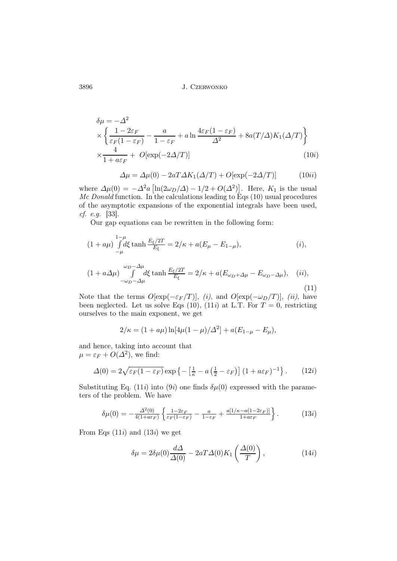$$
\delta\mu = -\Delta^2
$$
  
\n
$$
\times \left\{ \frac{1 - 2\varepsilon_F}{\varepsilon_F (1 - \varepsilon_F)} - \frac{a}{1 - \varepsilon_F} + a \ln \frac{4\varepsilon_F (1 - \varepsilon_F)}{\Delta^2} + 8a(T/\Delta)K_1(\Delta/T) \right\}
$$
  
\n
$$
\times \frac{4}{1 + a\varepsilon_F} + O[\exp(-2\Delta/T)] \tag{10i}
$$

$$
\Delta \mu = \Delta \mu(0) - 2aT\Delta K_1(\Delta/T) + O[\exp(-2\Delta/T)] \tag{10ii}
$$

where  $\Delta\mu(0) = -\Delta^2 a \left[ \ln(2\omega_D/\Delta) - 1/2 + O(\Delta^2) \right]$ . Here,  $K_1$  is the usual Mc Donald function. In the calculations leading to Eqs  $(10)$  usual procedures of the asymptotic expansions of the exponential integrals have been used, cf. e.g. [33].

Our gap equations can be rewritten in the following form:

$$
(1 + a\mu) \int_{-\mu}^{1-\mu} d\xi \tanh \frac{E_{\xi}/2T}{E_{\xi}} = 2/\kappa + a(E_{\mu} - E_{1-\mu}), \tag{i}
$$

$$
(1 + a\Delta\mu) \int_{-\omega_D - \Delta\mu}^{\omega_D - \Delta\mu} d\xi \tanh \frac{E_{\xi}/2T}{E_{\xi}} = 2/\kappa + a(E_{\omega_D + \Delta\mu} - E_{\omega_D - \Delta\mu}), \quad (ii),
$$
\n(11)

Note that the terms  $O[\exp(-\varepsilon_F/T)]$ , (i), and  $O[\exp(-\omega_D/T)]$ , (ii), have been neglected. Let us solve Eqs (10), (11*i*) at L.T. For  $T = 0$ , restricting ourselves to the main exponent, we get

$$
2/\kappa = (1 + a\mu) \ln[4\mu(1 - \mu)/\Delta^2] + a(E_{1-\mu} - E_{\mu}),
$$

and hence, taking into account that  $\mu = \varepsilon_F + O(\Delta^2)$ , we find:

$$
\Delta(0) = 2\sqrt{\varepsilon_F(1-\varepsilon_F)} \exp\left\{-\left[\frac{1}{\kappa} - a\left(\frac{1}{2} - \varepsilon_F\right)\right](1+a\varepsilon_F)^{-1}\right\}.
$$
 (12*i*)

Substituting Eq. (11*i*) into (9*i*) one finds  $\delta\mu(0)$  expressed with the parameters of the problem. We have

$$
\delta\mu(0) = -\frac{\Delta^2(0)}{4(1+a\varepsilon_F)} \left\{ \frac{1-2\varepsilon_F}{\varepsilon_F(1-\varepsilon_F)} - \frac{a}{1-\varepsilon_F} + \frac{a[1/\kappa - a(1-2\varepsilon_F)]}{1+a\varepsilon_F} \right\}.
$$
 (13*i*)

From Eqs  $(11i)$  and  $(13i)$  we get

$$
\delta \mu = 2\delta \mu(0) \frac{d\Delta}{\Delta(0)} - 2aT\Delta(0)K_1\left(\frac{\Delta(0)}{T}\right),\tag{14i}
$$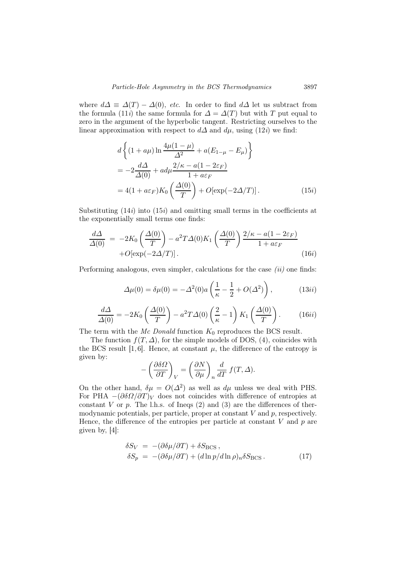where  $d\Delta \equiv \Delta(T) - \Delta(0)$ , etc. In order to find  $d\Delta$  let us subtract from the formula (11*i*) the same formula for  $\Delta = \Delta(T)$  but with T put equal to zero in the argument of the hyperbolic tangent. Restricting ourselves to the linear approximation with respect to  $d\Delta$  and  $d\mu$ , using (12*i*) we find:

$$
d\left\{ (1+a\mu)\ln\frac{4\mu(1-\mu)}{\Delta^2} + a(E_{1-\mu} - E_{\mu}) \right\}
$$
  
= 
$$
-2\frac{d\Delta}{\Delta(0)} + ad\mu\frac{2/\kappa - a(1-2\varepsilon_F)}{1 + a\varepsilon_F}
$$
  
= 
$$
4(1+a\varepsilon_F)K_0\left(\frac{\Delta(0)}{T}\right) + O[\exp(-2\Delta/T)].
$$
 (15*i*)

Substituting  $(14i)$  into  $(15i)$  and omitting small terms in the coefficients at the exponentially small terms one finds:

$$
\frac{d\Delta}{\Delta(0)} = -2K_0 \left(\frac{\Delta(0)}{T}\right) - a^2 T \Delta(0) K_1 \left(\frac{\Delta(0)}{T}\right) \frac{2/\kappa - a(1 - 2\varepsilon_F)}{1 + a\varepsilon_F} + O[\exp(-2\Delta/T)].
$$
\n(16*i*)

Performing analogous, even simpler, calculations for the case  $(ii)$  one finds:

$$
\Delta\mu(0) = \delta\mu(0) = -\Delta^2(0)a\left(\frac{1}{\kappa} - \frac{1}{2} + O(\Delta^2)\right),\tag{13ii}
$$

$$
\frac{d\Delta}{\Delta(0)} = -2K_0 \left(\frac{\Delta(0)}{T}\right) - a^2 T \Delta(0) \left(\frac{2}{\kappa} - 1\right) K_1 \left(\frac{\Delta(0)}{T}\right). \tag{16ii}
$$

The term with the Mc Donald function  $K_0$  reproduces the BCS result.

The function  $f(T, \Delta)$ , for the simple models of DOS, (4), coincides with the BCS result [1,6]. Hence, at constant  $\mu$ , the difference of the entropy is given by:

$$
-\left(\frac{\partial \delta \Omega}{\partial T}\right)_V = \left(\frac{\partial N}{\partial \mu}\right)_n \frac{d}{dT} f(T, \Delta).
$$

On the other hand,  $\delta \mu = O(\Delta^2)$  as well as  $d\mu$  unless we deal with PHS. For PHA  $-(\partial \delta \Omega/\partial T)_V$  does not coincides with difference of entropies at constant  $V$  or  $p$ . The l.h.s. of Ineqs  $(2)$  and  $(3)$  are the differences of thermodynamic potentials, per particle, proper at constant  $V$  and  $p$ , respectively. Hence, the difference of the entropies per particle at constant  $V$  and  $p$  are given by, [4]:

$$
\delta S_V = -(\partial \delta \mu / \partial T) + \delta S_{\rm BCS} ,
$$
  
\n
$$
\delta S_p = -(\partial \delta \mu / \partial T) + (d \ln p / d \ln \rho)_n \delta S_{\rm BCS} .
$$
\n(17)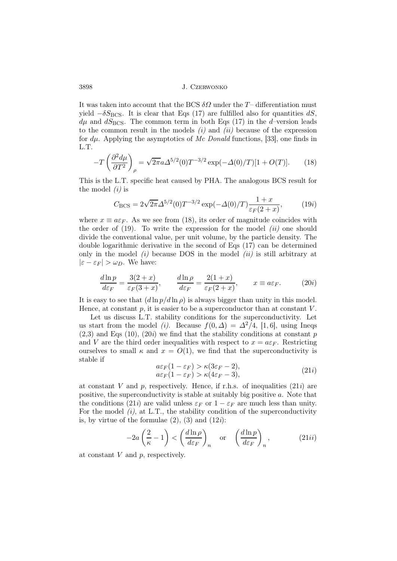It was taken into account that the BCS  $\delta\Omega$  under the T– differentiation must yield  $-\delta S_{\rm BCS}$ . It is clear that Eqs (17) are fulfilled also for quantities dS,  $d\mu$  and  $dS_{\rm BCS}$ . The common term in both Eqs (17) in the d–version leads to the common result in the models  $(i)$  and  $(ii)$  because of the expression for  $d\mu$ . Applying the asymptotics of Mc Donald functions, [33], one finds in L.T.

$$
-T\left(\frac{\partial^2 d\mu}{\partial T^2}\right)_{\rho} = \sqrt{2\pi}a\Delta^{5/2}(0)T^{-3/2}\exp(-\Delta(0)/T)[1+O(T)].\tag{18}
$$

This is the L.T. specific heat caused by PHA. The analogous BCS result for the model  $(i)$  is

$$
C_{\rm BCS} = 2\sqrt{2\pi} \Delta^{5/2}(0) T^{-3/2} \exp(-\Delta(0)/T) \frac{1+x}{\varepsilon_F(2+x)},\tag{19i}
$$

where  $x \equiv a \varepsilon_F$ . As we see from (18), its order of magnitude coincides with the order of  $(19)$ . To write the expression for the model  $(ii)$  one should divide the conventional value, per unit volume, by the particle density. The double logarithmic derivative in the second of Eqs (17) can be determined only in the model  $(i)$  because DOS in the model  $(ii)$  is still arbitrary at  $|\varepsilon - \varepsilon_F| > \omega_D$ . We have:

$$
\frac{d\ln p}{d\varepsilon_F} = \frac{3(2+x)}{\varepsilon_F(3+x)}, \qquad \frac{d\ln \rho}{d\varepsilon_F} = \frac{2(1+x)}{\varepsilon_F(2+x)}, \qquad x \equiv a\varepsilon_F. \tag{20i}
$$

It is easy to see that  $(d \ln p/d \ln \rho)$  is always bigger than unity in this model. Hence, at constant  $p$ , it is easier to be a superconductor than at constant  $V$ .

Let us discuss L.T. stability conditions for the superconductivity. Let us start from the model *(i)*. Because  $f(0, \Delta) = \Delta^2/4$ , [1, 6], using Ineqs  $(2,3)$  and Eqs  $(10)$ ,  $(20i)$  we find that the stability conditions at constant p and V are the third order inequalities with respect to  $x = a \varepsilon_F$ . Restricting ourselves to small  $\kappa$  and  $x = O(1)$ , we find that the superconductivity is stable if

$$
a\varepsilon_F(1 - \varepsilon_F) > \kappa(3\varepsilon_F - 2),
$$
  
\n
$$
a\varepsilon_F(1 - \varepsilon_F) > \kappa(4\varepsilon_F - 3),
$$
\n(21*i*)

at constant V and p, respectively. Hence, if r.h.s. of inequalities  $(21i)$  are positive, the superconductivity is stable at suitably big positive a. Note that the conditions (21*i*) are valid unless  $\varepsilon_F$  or  $1 - \varepsilon_F$  are much less than unity. For the model  $(i)$ , at L.T., the stability condition of the superconductivity is, by virtue of the formulae  $(2)$ ,  $(3)$  and  $(12i)$ :

$$
-2a\left(\frac{2}{\kappa} - 1\right) < \left(\frac{d\ln\rho}{d\varepsilon_F}\right)_n \quad \text{or} \quad \left(\frac{d\ln p}{d\varepsilon_F}\right)_n,\tag{21ii}
$$

at constant  $V$  and  $p$ , respectively.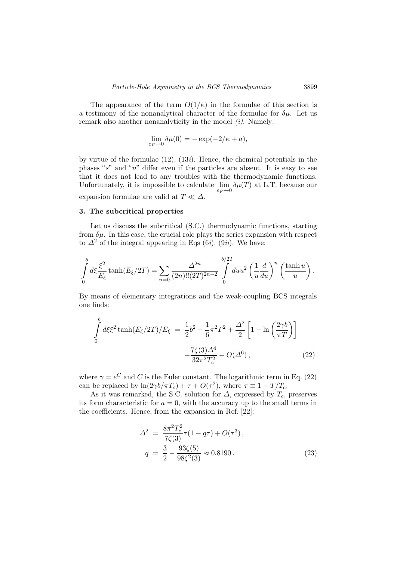The appearance of the term  $O(1/\kappa)$  in the formulae of this section is a testimony of the nonanalytical character of the formulae for  $\delta\mu$ . Let us remark also another nonanalyticity in the model  $(i)$ . Namely:

$$
\lim_{\varepsilon_F \to 0} \delta \mu(0) = -\exp(-2/\kappa + a),
$$

by virtue of the formulae  $(12)$ ,  $(13i)$ . Hence, the chemical potentials in the phases "s" and "n" differ even if the particles are absent. It is easy to see that it does not lead to any troubles with the thermodynamic functions. Unfortunately, it is impossible to calculate  $\lim_{\varepsilon_F \to 0} \delta \mu(T)$  at L.T. because our expansion formulae are valid at  $T \ll \Delta$ .

## 3. The subcritical properties

Let us discuss the subcritical (S.C.) thermodynamic functions, starting from  $\delta \mu$ . In this case, the crucial role plays the series expansion with respect to  $\Delta^2$  of the integral appearing in Eqs (6*i*), (9*ii*). We have:

$$
\int_{0}^{b} d\xi \frac{\xi^{2}}{E_{\xi}} \tanh(E_{\xi}/2T) = \sum_{n=0} \frac{\Delta^{2n}}{(2n)!!(2T)^{2n-2}} \int_{0}^{b/2T} du u^{2} \left(\frac{1}{u} \frac{d}{du}\right)^{n} \left(\frac{\tanh u}{u}\right).
$$

By means of elementary integrations and the weak-coupling BCS integrals one finds:

$$
\int_{0}^{b} d\xi \xi^{2} \tanh(E_{\xi}/2T)/E_{\xi} = \frac{1}{2}b^{2} - \frac{1}{6}\pi^{2}T^{2} + \frac{\Delta^{2}}{2} \left[1 - \ln\left(\frac{2\gamma b}{\pi T}\right)\right] + \frac{7\zeta(3)\Delta^{4}}{32\pi^{2}T_{c}^{2}} + O(\Delta^{6}),
$$
\n(22)

where  $\gamma = e^C$  and C is the Euler constant. The logarithmic term in Eq. (22) can be replaced by  $\ln(2\gamma b/\pi T_c) + \tau + O(\tau^2)$ , where  $\tau \equiv 1 - T/T_c$ .

As it was remarked, the S.C. solution for  $\Delta$ , expressed by  $T_c$ , preserves its form characteristic for  $a = 0$ , with the accuracy up to the small terms in the coefficients. Hence, from the expansion in Ref. [22]:

$$
\Delta^2 = \frac{8\pi^2 T_c^2}{7\zeta(3)} \tau (1 - q\tau) + O(\tau^3),
$$
  
\n
$$
q = \frac{3}{2} - \frac{93\zeta(5)}{98\zeta^2(3)} \approx 0.8190.
$$
\n(23)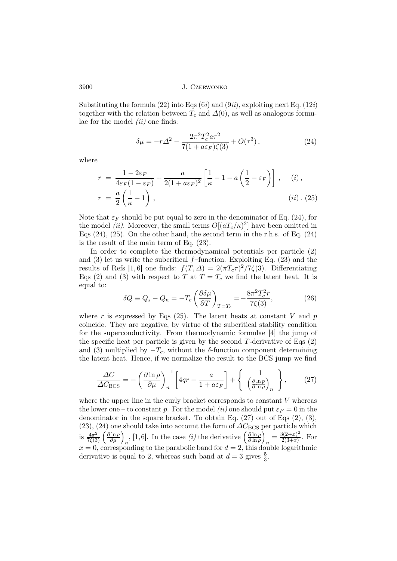Substituting the formula (22) into Eqs (6*i*) and (9*ii*), exploiting next Eq. (12*i*) together with the relation between  $T_c$  and  $\Delta(0)$ , as well as analogous formulae for the model  $(ii)$  one finds:

$$
\delta \mu = -r\Delta^2 - \frac{2\pi^2 T_c^2 a \tau^2}{7(1 + a\varepsilon_F)\zeta(3)} + O(\tau^3),\tag{24}
$$

where

$$
r = \frac{1 - 2\varepsilon_F}{4\varepsilon_F (1 - \varepsilon_F)} + \frac{a}{2(1 + a\varepsilon_F)^2} \left[ \frac{1}{\kappa} - 1 - a \left( \frac{1}{2} - \varepsilon_F \right) \right], \quad (i),
$$
  

$$
r = \frac{a}{2} \left( \frac{1}{\kappa} - 1 \right), \quad (ii). (25)
$$

Note that  $\varepsilon_F$  should be put equal to zero in the denominator of Eq. (24), for the model *(ii)*. Moreover, the small terms  $O[(aT_c/\kappa)^2]$  have been omitted in Eqs  $(24)$ ,  $(25)$ . On the other hand, the second term in the r.h.s. of Eq.  $(24)$ is the result of the main term of Eq. (23).

In order to complete the thermodynamical potentials per particle (2) and  $(3)$  let us write the subcritical f–function. Exploiting Eq.  $(23)$  and the results of Refs [1, 6] one finds:  $f(T, \Delta) = 2(\pi T_c \tau)^2 / 7\zeta(3)$ . Differentiating Eqs (2) and (3) with respect to T at  $T = T_c$  we find the latent heat. It is equal to:

$$
\delta Q \equiv Q_s - Q_n = -T_c \left(\frac{\partial \delta \mu}{\partial T}\right)_{T=T_c} = -\frac{8\pi^2 T_c^2 r}{7\zeta(3)},\tag{26}
$$

where r is expressed by Eqs (25). The latent heats at constant V and p coincide. They are negative, by virtue of the subcritical stability condition for the superconductivity. From thermodynamic formulae [4] the jump of the specific heat per particle is given by the second  $T$ -derivative of Eqs  $(2)$ and (3) multiplied by  $-T_c$ , without the δ-function component determining the latent heat. Hence, if we normalize the result to the BCS jump we find

$$
\frac{\Delta C}{\Delta C_{\rm BCS}} = -\left(\frac{\partial \ln \rho}{\partial \mu}\right)_n^{-1} \left[4qr - \frac{a}{1 + a\varepsilon_F}\right] + \left\{ \frac{1}{\left(\frac{\partial \ln p}{\partial \ln \rho}\right)_n} \right\},\tag{27}
$$

where the upper line in the curly bracket corresponds to constant  $V$  whereas the lower one – to constant p. For the model (ii) one should put  $\varepsilon_F = 0$  in the denominator in the square bracket. To obtain Eq.  $(27)$  out of Eqs  $(2)$ ,  $(3)$ , (23), (24) one should take into account the form of  $\Delta C_{\rm BCS}$  per particle which is  $\frac{4\pi^2}{7\zeta(3)} \left(\frac{\partial \ln \rho}{\partial \mu}\right)_n$ , [1,6]. In the case *(i)* the derivative  $\left(\frac{\partial \ln p}{\partial \ln \rho}\right)$  $\frac{\partial \ln p}{\partial \ln \rho}\Big)$  $n = \frac{3(2+x)^2}{2(3+x)}$  $\frac{2(2+x)}{2(3+x)}$ . For  $x = 0$ , corresponding to the parabolic band for  $d = 2$ , this double logarithmic derivative is equal to 2, whereas such band at  $d = 3$  gives  $\frac{5}{3}$ .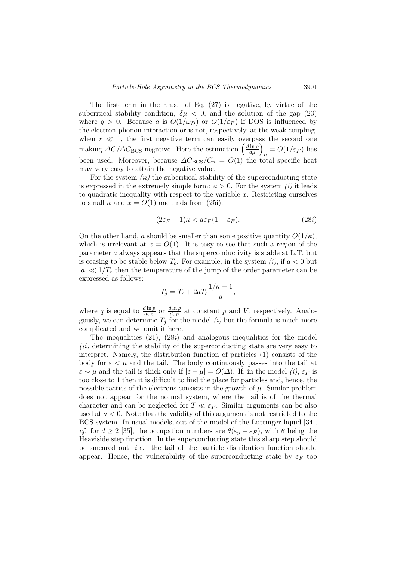The first term in the r.h.s. of Eq. (27) is negative, by virtue of the subcritical stability condition,  $\delta \mu < 0$ , and the solution of the gap (23) where  $q > 0$ . Because a is  $O(1/\omega_D)$  or  $O(1/\varepsilon_F)$  if DOS is influenced by the electron-phonon interaction or is not, respectively, at the weak coupling, when  $r \ll 1$ , the first negative term can easily overpass the second one making  $\Delta C/\Delta C_{\text{BCS}}$  negative. Here the estimation  $\left(\frac{d \ln \rho}{d \mu}\right)_n = O(1/\varepsilon_F)$  has been used. Moreover, because  $\Delta C_{\rm BCS}/C_n = O(1)$  the total specific heat may very easy to attain the negative value.

For the system  $(ii)$  the subcritical stability of the superconducting state is expressed in the extremely simple form:  $a > 0$ . For the system *(i)* it leads to quadratic inequality with respect to the variable  $x$ . Restricting ourselves to small  $\kappa$  and  $x = O(1)$  one finds from (25i):

$$
(2\varepsilon_F - 1)\kappa < a\varepsilon_F (1 - \varepsilon_F). \tag{28i}
$$

On the other hand, a should be smaller than some positive quantity  $O(1/\kappa)$ , which is irrelevant at  $x = O(1)$ . It is easy to see that such a region of the parameter a always appears that the superconductivity is stable at L.T. but is ceasing to be stable below  $T_c$ . For example, in the system (i), if  $a < 0$  but  $|a| \ll 1/T_c$  then the temperature of the jump of the order parameter can be expressed as follows:

$$
T_j = T_c + 2aT_c \frac{1/\kappa - 1}{q},
$$

where q is equal to  $\frac{d \ln p}{d \varepsilon_F}$  or  $\frac{d \ln \rho}{d \varepsilon_F}$  $\frac{\partial \ln \rho}{\partial \varepsilon_F}$  at constant p and V, respectively. Analogously, we can determine  $T_j$  for the model  $(i)$  but the formula is much more complicated and we omit it here.

The inequalities  $(21)$ ,  $(28i)$  and analogous inequalities for the model  $(ii)$  determining the stability of the superconducting state are very easy to interpret. Namely, the distribution function of particles (1) consists of the body for  $\varepsilon < \mu$  and the tail. The body continuously passes into the tail at  $\varepsilon \sim \mu$  and the tail is thick only if  $|\varepsilon - \mu| = O(\Delta)$ . If, in the model (i),  $\varepsilon_F$  is too close to 1 then it is difficult to find the place for particles and, hence, the possible tactics of the electrons consists in the growth of  $\mu$ . Similar problem does not appear for the normal system, where the tail is of the thermal character and can be neglected for  $T \ll \varepsilon_F$ . Similar arguments can be also used at  $a < 0$ . Note that the validity of this argument is not restricted to the BCS system. In usual models, out of the model of the Luttinger liquid [34], cf. for  $d \geq 2$  [35], the occupation numbers are  $\theta(\varepsilon_p - \varepsilon_F)$ , with  $\theta$  being the Heaviside step function. In the superconducting state this sharp step should be smeared out, i.e. the tail of the particle distribution function should appear. Hence, the vulnerability of the superconducting state by  $\varepsilon_F$  too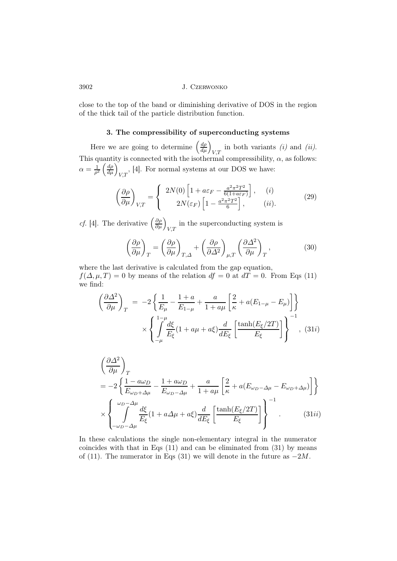close to the top of the band or diminishing derivative of DOS in the region of the thick tail of the particle distribution function.

## 3. The compressibility of superconducting systems

Here we are going to determine  $\left(\frac{d\rho}{d\mu}\right)_{V,T}$  in both variants *(i)* and *(ii)*. This quantity is connected with the isothermal compressibility,  $\alpha$ , as follows:  $\alpha = \frac{1}{\alpha^2}$  $\frac{1}{\rho^2} \left( \frac{d\rho}{d\mu} \right)_{V,T}$ , [4]. For normal systems at our DOS we have:

$$
\left(\frac{\partial \rho}{\partial \mu}\right)_{V,T} = \begin{cases} 2N(0) \left[1 + a\varepsilon_F - \frac{a^2 \pi^2 T^2}{6(1 + a\varepsilon_F)}\right], & (i) \\ 2N(\varepsilon_F) \left[1 - \frac{a^2 \pi^2 T^2}{6}\right], & (ii). \end{cases}
$$
 (29)

*cf.* [4]. The derivative  $\left(\frac{\partial \rho}{\partial \mu}\right)_{V,T}$  in the superconducting system is

$$
\left(\frac{\partial \rho}{\partial \mu}\right)_T = \left(\frac{\partial \rho}{\partial \mu}\right)_{T,\Delta} + \left(\frac{\partial \rho}{\partial \Delta^2}\right)_{\mu,T} \left(\frac{\partial \Delta^2}{\partial \mu}\right)_T, \tag{30}
$$

where the last derivative is calculated from the gap equation,  $f(\Delta, \mu, T) = 0$  by means of the relation  $df = 0$  at  $dT = 0$ . From Eqs (11) we find:

$$
\left(\frac{\partial \Delta^2}{\partial \mu}\right)_T = -2\left\{\frac{1}{E_\mu} - \frac{1+a}{E_{1-\mu}} + \frac{a}{1+a\mu}\left[\frac{2}{\kappa} + a(E_{1-\mu} - E_\mu)\right]\right\}
$$

$$
\times \left\{\int_{-\mu}^{1-\mu} \frac{d\xi}{E_\xi} (1+a\mu + a\xi) \frac{d}{dE_\xi} \left[\frac{\tanh(E_\xi/2T)}{E_\xi}\right]\right\}^{-1}, (31i)
$$

$$
\left(\frac{\partial \Delta^2}{\partial \mu}\right)_T
$$
\n
$$
= -2 \left\{ \frac{1 - a\omega_D}{E_{\omega_D + \Delta \mu}} - \frac{1 + a\omega_D}{E_{\omega_D - \Delta \mu}} + \frac{a}{1 + a\mu} \left[ \frac{2}{\kappa} + a(E_{\omega_D - \Delta \mu} - E_{\omega_D + \Delta \mu}) \right] \right\}
$$
\n
$$
\times \left\{ \int_{-\omega_D - \Delta \mu}^{\omega_D - \Delta \mu} \frac{d\xi}{E_\xi} (1 + a\Delta \mu + a\xi) \frac{d}{dE_\xi} \left[ \frac{\tanh(E_\xi / 2T)}{E_\xi} \right] \right\}^{-1}.
$$
\n(31ii)

In these calculations the single non-elementary integral in the numerator coincides with that in Eqs (11) and can be eliminated from (31) by means of (11). The numerator in Eqs (31) we will denote in the future as  $-2M$ .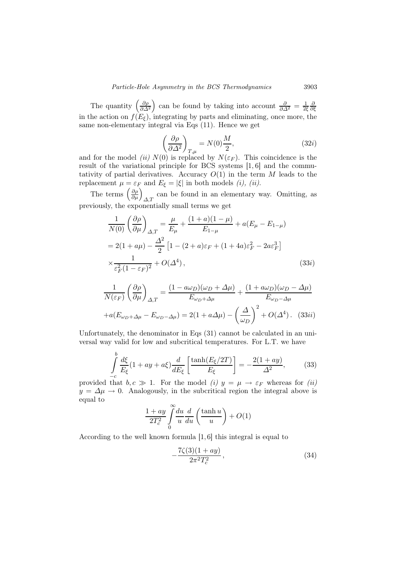The quantity  $\left(\frac{\partial \rho}{\partial \Delta^2}\right)$  can be found by taking into account  $\frac{\partial}{\partial \Delta^2} = \frac{1}{2\xi}$ 2ξ ∂ ∂ξ in the action on  $f(E_{\xi})$ , integrating by parts and eliminating, once more, the same non-elementary integral via Eqs (11). Hence we get

$$
\left(\frac{\partial \rho}{\partial \Delta^2}\right)_{T,\mu} = N(0)\frac{M}{2},\tag{32i}
$$

and for the model *(ii)*  $N(0)$  is replaced by  $N(\varepsilon_F)$ . This coincidence is the result of the variational principle for BCS systems [1, 6] and the commutativity of partial derivatives. Accuracy  $O(1)$  in the term M leads to the replacement  $\mu = \varepsilon_F$  and  $E_{\xi} = |\xi|$  in both models *(i), (ii)*.

The terms  $\left(\frac{\partial \rho}{\partial \mu}\right)_{\Delta,T}$  can be found in an elementary way. Omitting, as previously, the exponentially small terms we get

$$
\frac{1}{N(0)} \left( \frac{\partial \rho}{\partial \mu} \right)_{\Delta, T} = \frac{\mu}{E_{\mu}} + \frac{(1+a)(1-\mu)}{E_{1-\mu}} + a(E_{\mu} - E_{1-\mu})
$$
  
= 2(1 + a\mu) -  $\frac{\Delta^2}{2}$  [1 - (2 + a)\varepsilon<sub>F</sub> + (1 + 4a)\varepsilon<sub>F</sub><sup>2</sup> - 2a\varepsilon<sub>F</sub><sup>3</sup>]  
 $\times \frac{1}{\varepsilon_F^2 (1 - \varepsilon_F)^2} + O(\Delta^4)$ , (33*i*)

$$
\frac{1}{N(\varepsilon_F)} \left(\frac{\partial \rho}{\partial \mu}\right)_{\Delta,T} = \frac{(1 - a\omega_D)(\omega_D + \Delta \mu)}{E_{\omega_D + \Delta \mu}} + \frac{(1 + a\omega_D)(\omega_D - \Delta \mu)}{E_{\omega_D - \Delta \mu}}
$$

$$
+ a(E_{\omega_D + \Delta \mu} - E_{\omega_D - \Delta \mu}) = 2(1 + a\Delta \mu) - \left(\frac{\Delta}{\omega_D}\right)^2 + O(\Delta^4). \quad (33ii)
$$

Unfortunately, the denominator in Eqs (31) cannot be calculated in an universal way valid for low and subcritical temperatures. For L.T. we have

$$
\int_{-c}^{b} \frac{d\xi}{E_{\xi}} (1 + ay + a\xi) \frac{d}{dE_{\xi}} \left[ \frac{\tanh(E_{\xi}/2T)}{E_{\xi}} \right] = -\frac{2(1 + ay)}{\Delta^2},
$$
\n(33)

provided that  $b, c \gg 1$ . For the model (i)  $y = \mu \rightarrow \varepsilon_F$  whereas for (ii)  $y = \Delta \mu \rightarrow 0$ . Analogously, in the subcritical region the integral above is equal to

$$
\frac{1+ay}{2T_c^2} \int\limits_0^\infty \frac{du}{u} \frac{d}{du} \left(\frac{\tanh u}{u}\right) + O(1)
$$

According to the well known formula [1, 6] this integral is equal to

$$
-\frac{7\zeta(3)(1+ay)}{2\pi^2T_c^2},\tag{34}
$$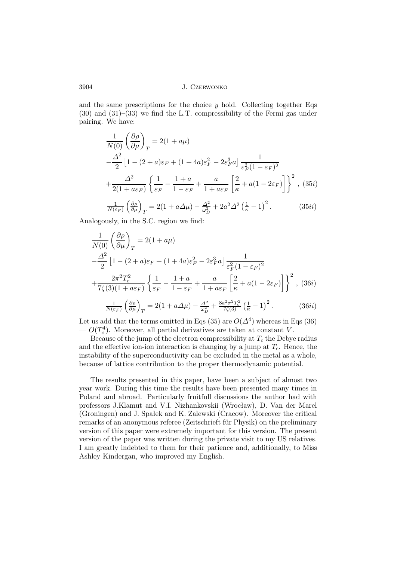and the same prescriptions for the choice  $y$  hold. Collecting together Eqs.  $(30)$  and  $(31)$ – $(33)$  we find the L.T. compressibility of the Fermi gas under pairing. We have:

$$
\frac{1}{N(0)} \left(\frac{\partial \rho}{\partial \mu}\right)_T = 2(1 + a\mu)
$$
  

$$
-\frac{\Delta^2}{2} \left[1 - (2 + a)\varepsilon_F + (1 + 4a)\varepsilon_F^2 - 2\varepsilon_F^3 a\right] \frac{1}{\varepsilon_F^2 (1 - \varepsilon_F)^2}
$$
  

$$
+\frac{\Delta^2}{2(1 + a\varepsilon_F)} \left\{\frac{1}{\varepsilon_F} - \frac{1 + a}{1 - \varepsilon_F} + \frac{a}{1 + a\varepsilon_F} \left[\frac{2}{\kappa} + a(1 - 2\varepsilon_F)\right]\right\}^2, (35i)
$$
  

$$
\frac{1}{N(\varepsilon_F)} \left(\frac{\partial \rho}{\partial \mu}\right)_T = 2(1 + a\Delta\mu) - \frac{\Delta^2}{\omega_D^2} + 2a^2 \Delta^2 \left(\frac{1}{\kappa} - 1\right)^2.
$$
 (35ii)

Analogously, in the S.C. region we find:

$$
\frac{1}{N(0)} \left(\frac{\partial \rho}{\partial \mu}\right)_T = 2(1+a\mu)
$$
\n
$$
-\frac{\Delta^2}{2} \left[1 - (2+a)\varepsilon_F + (1+4a)\varepsilon_F^2 - 2\varepsilon_F^3 a\right] \frac{1}{\varepsilon_F^2 (1-\varepsilon_F)^2}
$$
\n
$$
+\frac{2\pi^2 T_c^2}{7\zeta(3)(1+a\varepsilon_F)} \left\{\frac{1}{\varepsilon_F} - \frac{1+a}{1-\varepsilon_F} + \frac{a}{1+a\varepsilon_F} \left[\frac{2}{\kappa} + a(1-2\varepsilon_F)\right]\right\}^2, (36i)
$$
\n
$$
\frac{1}{\zeta(\varepsilon_F)} \left\{\frac{1}{\varepsilon_F} - \frac{2(1+a\Delta\mu)}{1-\varepsilon_F} - \frac{2a^2}{1+a\varepsilon_F^2} \frac{8a^2\pi^2 T_c^2}{(1-\varepsilon_F)^2} \right\}^2, (36i)
$$

$$
\frac{1}{N(\varepsilon_F)} \left(\frac{\partial \rho}{\partial \mu}\right)_T = 2(1 + a\Delta\mu) - \frac{\Delta^2}{\omega_D^2} + \frac{8a^2 \pi^2 T_c^2}{7\zeta(3)} \left(\frac{1}{\kappa} - 1\right)^2. \tag{36ii}
$$

Let us add that the terms omitted in Eqs (35) are  $O(\Delta^4)$  whereas in Eqs (36)  $- O(T_c^4)$ . Moreover, all partial derivatives are taken at constant V.

Because of the jump of the electron compressibility at  $T_c$  the Debye radius and the effective ion-ion interaction is changing by a jump at  $T_c$ . Hence, the instability of the superconductivity can be excluded in the metal as a whole, because of lattice contribution to the proper thermodynamic potential.

The results presented in this paper, have been a subject of almost two year work. During this time the results have been presented many times in Poland and abroad. Particularly fruitfull discussions the author had with professors J.Klamut and V.I. Nizhankovskii (Wrocław), D. Van der Marel (Groningen) and J. Spałek and K. Zalewski (Cracow). Moreover the critical remarks of an anonymous referee (Zeitschrieft für Physik) on the preliminary version of this paper were extremely important for this version. The present version of the paper was written during the private visit to my US relatives. I am greatly indebted to them for their patience and, additionally, to Miss Ashley Kindergan, who improved my English.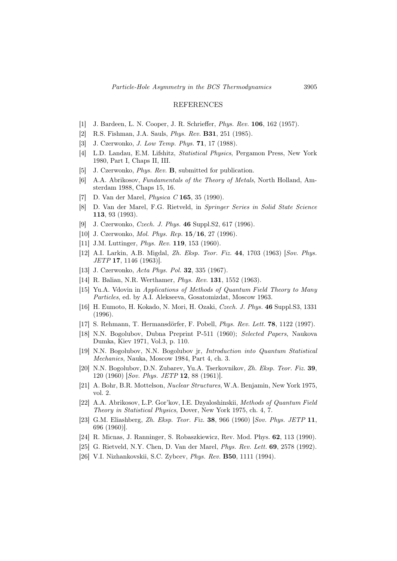#### REFERENCES

- [1] J. Bardeen, L. N. Cooper, J. R. Schrieffer, Phys. Rev. 106, 162 (1957).
- [2] R.S. Fishman, J.A. Sauls, Phys. Rev. B31, 251 (1985).
- [3] J. Czerwonko, *J. Low Temp. Phys.* **71**, 17 (1988).
- [4] L.D. Landau, E.M. Lifshitz, Statistical Physics, Pergamon Press, New York 1980, Part I, Chaps II, III.
- [5] J. Czerwonko, Phys. Rev. B, submitted for publication.
- [6] A.A. Abrikosov, Fundamentals of the Theory of Metals, North Holland, Amsterdam 1988, Chaps 15, 16.
- [7] D. Van der Marel, Physica C 165, 35 (1990).
- [8] D. Van der Marel, F.G. Rietveld, in Springer Series in Solid State Science 113, 93 (1993).
- [9] J. Czerwonko, Czech. J. Phys. 46 Suppl.S2, 617 (1996).
- [10] J. Czerwonko, *Mol. Phys. Rep.* **15/16**, 27 (1996).
- [11] J.M. Luttinger, *Phys. Rev.* **119**, 153 (1960).
- [12] A.I. Larkin, A.B. Migdal, Zh. Eksp. Teor. Fiz. 44, 1703 (1963) [Sov. Phys. JETP 17, 1146 (1963)].
- [13] J. Czerwonko, Acta Phys. Pol. 32, 335 (1967).
- [14] R. Balian, N.R. Werthamer, Phys. Rev. 131, 1552 (1963).
- [15] Yu.A. Vdovin in Applications of Methods of Quantum Field Theory to Many Particles, ed. by A.I. Alekseeva, Gosatomizdat, Moscow 1963.
- [16] H. Eumoto, H. Kokado, N. Mori, H. Ozaki, Czech. J. Phys. 46 Suppl.S3, 1331 (1996).
- [17] S. Rehmann, T. Hermansdörfer, F. Pobell, Phys. Rev. Lett. 78, 1122 (1997).
- [18] N.N. Bogolubov, Dubna Preprint P-511 (1960); Selected Papers, Naukova Dumka, Kiev 1971, Vol.3, p. 110.
- [19] N.N. Bogolubov, N.N. Bogolubov jr, Introduction into Quantum Statistical Mechanics, Nauka, Moscow 1984, Part 4, ch. 3.
- [20] N.N. Bogolubov, D.N. Zubarev, Yu.A. Tserkovnikov, Zh. Eksp. Teor. Fiz. 39, 120 (1960) [Sov. Phys. JETP 12, 88 (1961)].
- [21] A. Bohr, B.R. Mottelson, Nuclear Structures, W.A. Benjamin, New York 1975, vol. 2.
- [22] A.A. Abrikosov, L.P. Gor'kov, I.E. Dzyaloshinskii, Methods of Quantum Field Theory in Statistical Physics, Dover, New York 1975, ch. 4, 7.
- [23] G.M. Eliashberg, Zh. Eksp. Teor. Fiz. 38, 966 (1960) [Sov. Phys. JETP 11, 696 (1960)].
- [24] R. Micnas, J. Ranninger, S. Robaszkiewicz, Rev. Mod. Phys. 62, 113 (1990).
- [25] G. Rietveld, N.Y. Chen, D. Van der Marel, Phys. Rev. Lett. 69, 2578 (1992).
- [26] V.I. Nizhankovskii, S.C. Zybcev, Phys. Rev. B50, 1111 (1994).